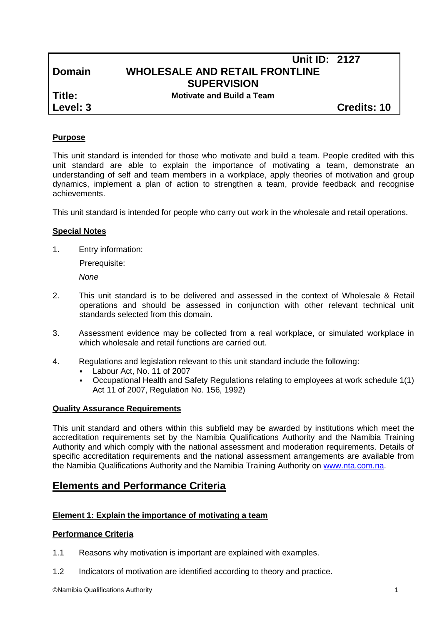# **Unit ID: 2127 Domain WHOLESALE AND RETAIL FRONTLINE SUPERVISION**

**Title: Motivate and Build a Team**

**Level: 3 Credits: 10**

# **Purpose**

This unit standard is intended for those who motivate and build a team. People credited with this unit standard are able to explain the importance of motivating a team, demonstrate an understanding of self and team members in a workplace, apply theories of motivation and group dynamics, implement a plan of action to strengthen a team, provide feedback and recognise achievements.

This unit standard is intended for people who carry out work in the wholesale and retail operations.

# **Special Notes**

1. Entry information:

Prerequisite:

*None*

- 2. This unit standard is to be delivered and assessed in the context of Wholesale & Retail operations and should be assessed in conjunction with other relevant technical unit standards selected from this domain.
- 3. Assessment evidence may be collected from a real workplace, or simulated workplace in which wholesale and retail functions are carried out.
- 4. Regulations and legislation relevant to this unit standard include the following:
	- Labour Act, No. 11 of 2007
	- Occupational Health and Safety Regulations relating to employees at work schedule 1(1) Act 11 of 2007, Regulation No. 156, 1992)

# **Quality Assurance Requirements**

This unit standard and others within this subfield may be awarded by institutions which meet the accreditation requirements set by the Namibia Qualifications Authority and the Namibia Training Authority and which comply with the national assessment and moderation requirements. Details of specific accreditation requirements and the national assessment arrangements are available from the Namibia Qualifications Authority and the Namibia Training Authority on [www.nta.com.na.](http://www.nta.com.na/)

# **Elements and Performance Criteria**

# **Element 1: Explain the importance of motivating a team**

# **Performance Criteria**

- 1.1 Reasons why motivation is important are explained with examples.
- 1.2 Indicators of motivation are identified according to theory and practice.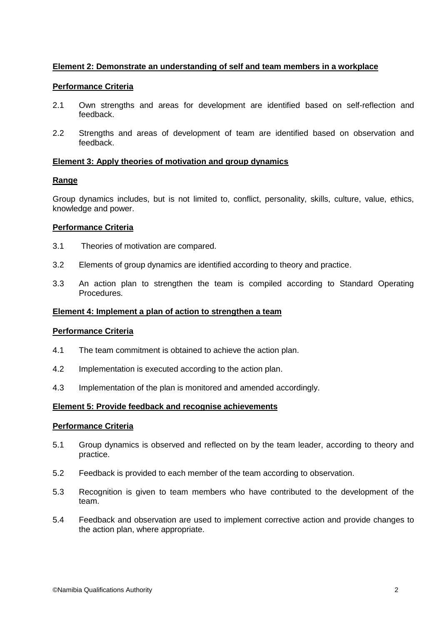# **Element 2: Demonstrate an understanding of self and team members in a workplace**

### **Performance Criteria**

- 2.1 Own strengths and areas for development are identified based on self-reflection and feedback.
- 2.2 Strengths and areas of development of team are identified based on observation and feedback.

#### **Element 3: Apply theories of motivation and group dynamics**

#### **Range**

Group dynamics includes, but is not limited to, conflict, personality, skills, culture, value, ethics, knowledge and power.

# **Performance Criteria**

- 3.1 Theories of motivation are compared.
- 3.2 Elements of group dynamics are identified according to theory and practice.
- 3.3 An action plan to strengthen the team is compiled according to Standard Operating Procedures.

#### **Element 4: Implement a plan of action to strengthen a team**

#### **Performance Criteria**

- 4.1 The team commitment is obtained to achieve the action plan.
- 4.2 Implementation is executed according to the action plan.
- 4.3 Implementation of the plan is monitored and amended accordingly.

#### **Element 5: Provide feedback and recognise achievements**

#### **Performance Criteria**

- 5.1 Group dynamics is observed and reflected on by the team leader, according to theory and practice.
- 5.2 Feedback is provided to each member of the team according to observation.
- 5.3 Recognition is given to team members who have contributed to the development of the team.
- 5.4 Feedback and observation are used to implement corrective action and provide changes to the action plan, where appropriate.